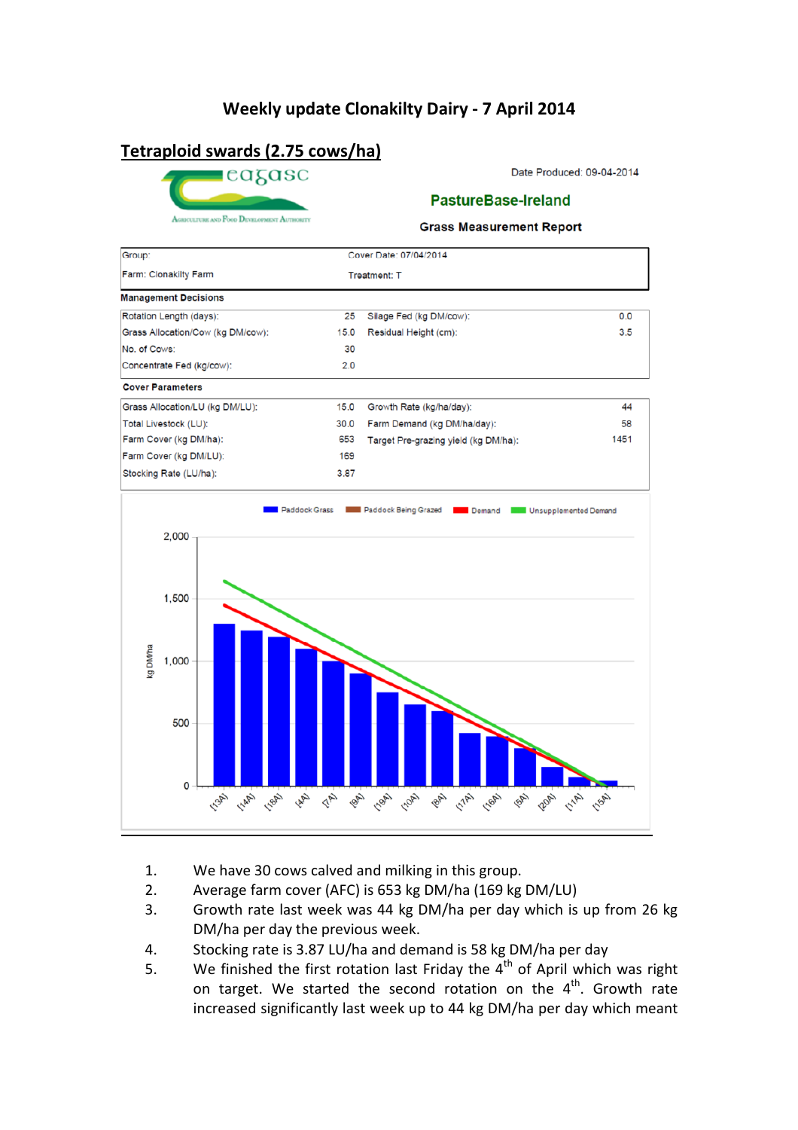## **Weekly update Clonakilty Dairy - 7 April 2014**

# **Tetraploid swards (2.75 cows/ha)**



Date Produced: 09-04-2014

#### **PastureBase-Ireland**

**Grass Measurement Report** 



- 1. We have 30 cows calved and milking in this group.
- 2. Average farm cover (AFC) is 653 kg DM/ha (169 kg DM/LU)
- 3. Growth rate last week was 44 kg DM/ha per day which is up from 26 kg DM/ha per day the previous week.
- 4. Stocking rate is 3.87 LU/ha and demand is 58 kg DM/ha per day
- 5. We finished the first rotation last Friday the  $4<sup>th</sup>$  of April which was right on target. We started the second rotation on the  $4<sup>th</sup>$ . Growth rate increased significantly last week up to 44 kg DM/ha per day which meant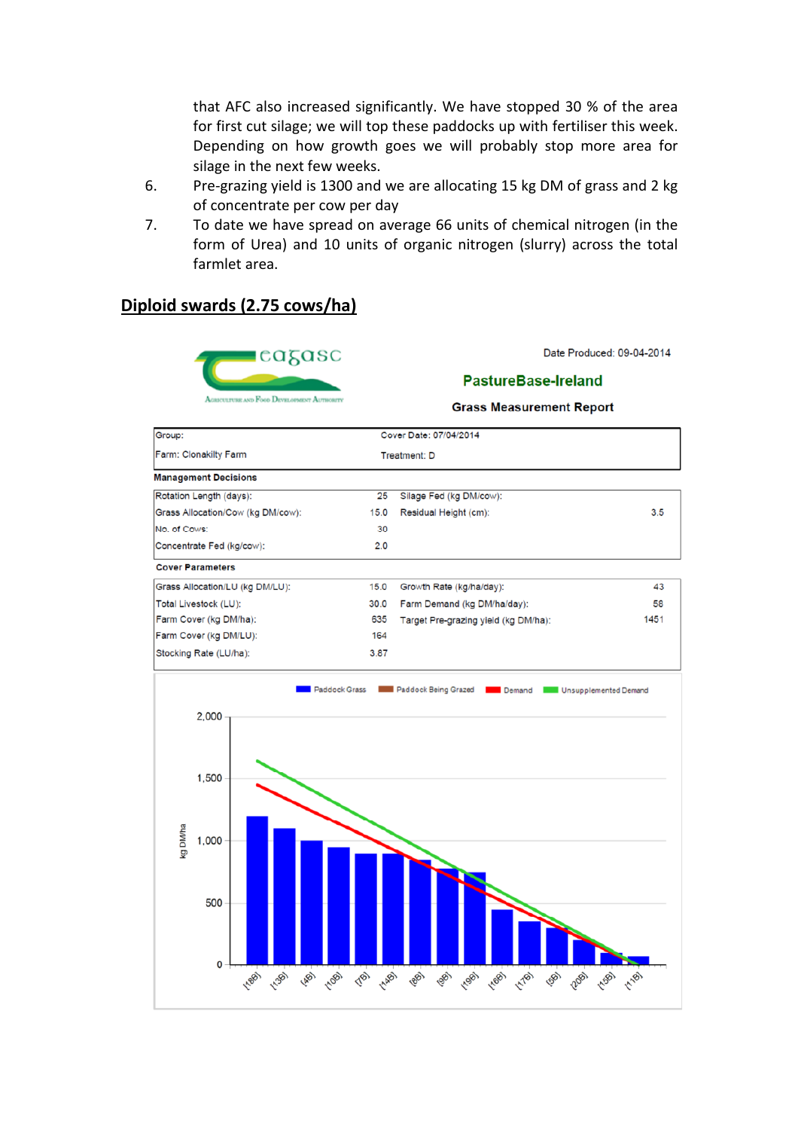that AFC also increased significantly. We have stopped 30 % of the area for first cut silage; we will top these paddocks up with fertiliser this week. Depending on how growth goes we will probably stop more area for silage in the next few weeks.

- 6. Pre-grazing yield is 1300 and we are allocating 15 kg DM of grass and 2 kg of concentrate per cow per day
- 7. To date we have spread on average 66 units of chemical nitrogen (in the form of Urea) and 10 units of organic nitrogen (slurry) across the total farmlet area.

### **Diploid swards (2.75 cows/ha)**